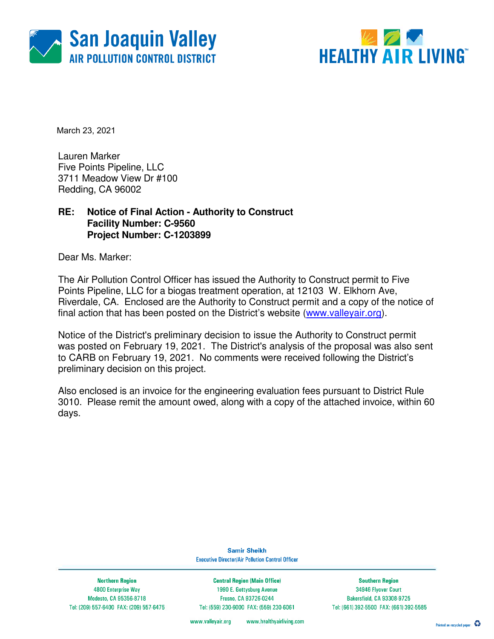



March 23, 2021

Lauren Marker Five Points Pipeline, LLC 3711 Meadow View Dr #100 Redding, CA 96002

## **RE: Notice of Final Action - Authority to Construct Facility Number: C-9560 Project Number: C-1203899**

Dear Ms. Marker:

The Air Pollution Control Officer has issued the Authority to Construct permit to Five Points Pipeline, LLC for a biogas treatment operation, at 12103 W. Elkhorn Ave, Riverdale, CA. Enclosed are the Authority to Construct permit and a copy of the notice of final action that has been posted on the District's website (www.valleyair.org).

Notice of the District's preliminary decision to issue the Authority to Construct permit was posted on February 19, 2021. The District's analysis of the proposal was also sent to CARB on February 19, 2021. No comments were received following the District's preliminary decision on this project.

Also enclosed is an invoice for the engineering evaluation fees pursuant to District Rule 3010. Please remit the amount owed, along with a copy of the attached invoice, within 60 days.

> **Samir Sheikh Executive Director/Air Pollution Control Officer**

**Northern Region** 4800 Enterprise Way Modesto, CA 95356-8718 Tel: (209) 557-6400 FAX: (209) 557-6475

**Central Region (Main Office)** 1990 E. Gettysburg Avenue Fresno, CA 93726-0244 Tel: (559) 230-6000 FAX: (559) 230-6061

**Southern Region** 34946 Flyover Court Bakersfield, CA 93308-9725 Tel: (661) 392-5500 FAX: (661) 392-5585

www.healthyairliving.com www.valleyair.org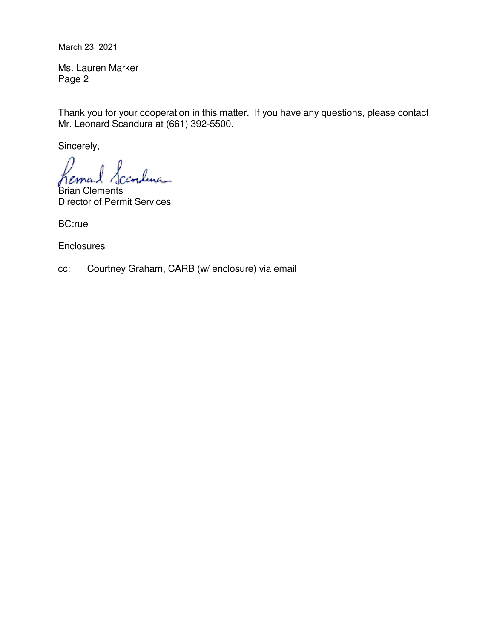March 23, 2021

Ms. Lauren Marker Page 2

Thank you for your cooperation in this matter. If you have any questions, please contact Mr. Leonard Scandura at (661) 392-5500.

Sincerely,

lma\_

Brian Clements Director of Permit Services

BC:rue

**Enclosures** 

cc: Courtney Graham, CARB (w/ enclosure) via email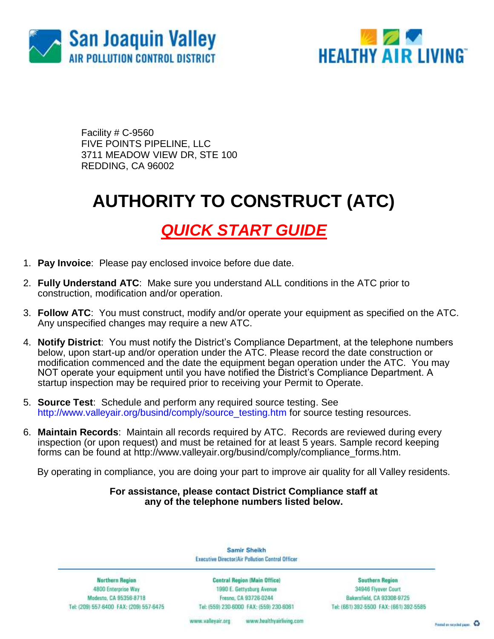



Facility # C-9560 FIVE POINTS PIPELINE, LLC 3711 MEADOW VIEW DR, STE 100 REDDING, CA 96002

# **AUTHORITY TO CONSTRUCT (ATC)**

# *QUICK START GUIDE*

- 1. **Pay Invoice**: Please pay enclosed invoice before due date.
- 2. **Fully Understand ATC**: Make sure you understand ALL conditions in the ATC prior to construction, modification and/or operation.
- 3. **Follow ATC**: You must construct, modify and/or operate your equipment as specified on the ATC. Any unspecified changes may require a new ATC.
- 4. **Notify District**: You must notify the District's Compliance Department, at the telephone numbers below, upon start-up and/or operation under the ATC. Please record the date construction or modification commenced and the date the equipment began operation under the ATC. You may NOT operate your equipment until you have notified the District's Compliance Department. A startup inspection may be required prior to receiving your Permit to Operate.
- 5. **Source Test**: Schedule and perform any required source testing. See [http://www.valleyair.org/busind/comply/source\\_testing.htm](http://www.valleyair.org/busind/comply/source_testing.htm) for source testing resources.
- 6. **Maintain Records**:Maintain all records required by ATC. Records are reviewed during every inspection (or upon request) and must be retained for at least 5 years. Sample record keeping forms can be found at http://www.valleyair.org/busind/comply/compliance\_forms.htm.

By operating in compliance, you are doing your part to improve air quality for all Valley residents.

#### **For assistance, please contact District Compliance staff at any of the telephone numbers listed below.**

Samir Sheikh Executive Director/Air Pollution Control Officer

**Northern Region** 4800 Enterprise Way Modesto, CA 95356-8718 Tel: (209) 557-6400 FAX: (209) 557-6475

Central Region (Main Office) 1990 E. Gettysburg Avenue Fresna, CA 93726-0244 Tel: (559) 230-6000 FAX: (559) 230-6061

**Southern Region** 34946 Flyover Court Bakersfield, CA 93308-9725 Tel: (661) 392-5500 FAX: (661) 392-5585

www.healthyairliving.com www.valleyair.org

Preced on recycled paper. 43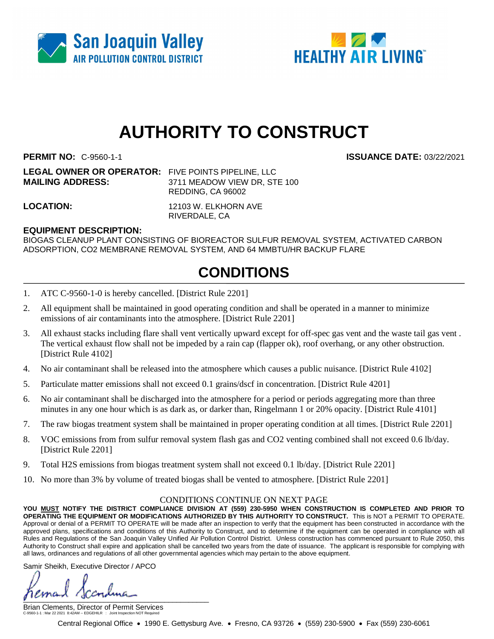



# **AUTHORITY TO CONSTRUCT**

**PERMIT NO:** C-9560-1-1 **ISSUANCE DATE:** 03/22/2021

**LEGAL OWNER OR OPERATOR:** FIVE POINTS PIPELINE, LLC **MAILING ADDRESS:** 3711 MEADOW VIEW DR, STE 100 REDDING, CA 96002

**LOCATION:** 12103 W. ELKHORN AVE RIVERDALE, CA

### **EQUIPMENT DESCRIPTION:**

BIOGAS CLEANUP PLANT CONSISTING OF BIOREACTOR SULFUR REMOVAL SYSTEM, ACTIVATED CARBON ADSORPTION, CO2 MEMBRANE REMOVAL SYSTEM, AND 64 MMBTU/HR BACKUP FLARE

# **CONDITIONS**

- 1. ATC C-9560-1-0 is hereby cancelled. [District Rule 2201]
- 2. All equipment shall be maintained in good operating condition and shall be operated in a manner to minimize emissions of air contaminants into the atmosphere. [District Rule 2201]
- 3. All exhaust stacks including flare shall vent vertically upward except for off-spec gas vent and the waste tail gas vent . The vertical exhaust flow shall not be impeded by a rain cap (flapper ok), roof overhang, or any other obstruction. [District Rule 4102]
- 4. No air contaminant shall be released into the atmosphere which causes a public nuisance. [District Rule 4102]
- 5. Particulate matter emissions shall not exceed 0.1 grains/dscf in concentration. [District Rule 4201]
- 6. No air contaminant shall be discharged into the atmosphere for a period or periods aggregating more than three minutes in any one hour which is as dark as, or darker than, Ringelmann 1 or 20% opacity. [District Rule 4101]
- 7. The raw biogas treatment system shall be maintained in proper operating condition at all times. [District Rule 2201]
- 8. VOC emissions from from sulfur removal system flash gas and CO2 venting combined shall not exceed 0.6 lb/day. [District Rule 2201]
- 9. Total H2S emissions from biogas treatment system shall not exceed 0.1 lb/day. [District Rule 2201]
- 10. No more than 3% by volume of treated biogas shall be vented to atmosphere. [District Rule 2201]

#### CONDITIONS CONTINUE ON NEXT PAGE

**YOU MUST NOTIFY THE DISTRICT COMPLIANCE DIVISION AT (559) 230-5950 WHEN CONSTRUCTION IS COMPLETED AND PRIOR TO**  OPERATING THE EQUIPMENT OR MODIFICATIONS AUTHORIZED BY THIS AUTHORITY TO CONSTRUCT. This is NOT a PERMIT TO OPERATE. Approval or denial of a PERMIT TO OPERATE will be made after an inspection to verify that the equipment has been constructed in accordance with the approved plans, specifications and conditions of this Authority to Construct, and to determine if the equipment can be operated in compliance with all Rules and Regulations of the San Joaquin Valley Unified Air Pollution Control District. Unless construction has commenced pursuant to Rule 2050, this Authority to Construct shall expire and application shall be cancelled two years from the date of issuance. The applicant is responsible for complying with all laws, ordinances and regulations of all other governmental agencies which may pertain to the above equipment.

Samir Sheikh, Executive Director / APCO

 $\int$ 

Brian Clements, Director of Permit Services C-9560-1-1 : Mar 22 2021 8:42AM -- EDGEHILR : Joint Inspection NOT Required

Central Regional Office 1990 E. Gettysburg Ave. Fresno, CA 93726 (559) 230-5900 Fax (559) 230-6061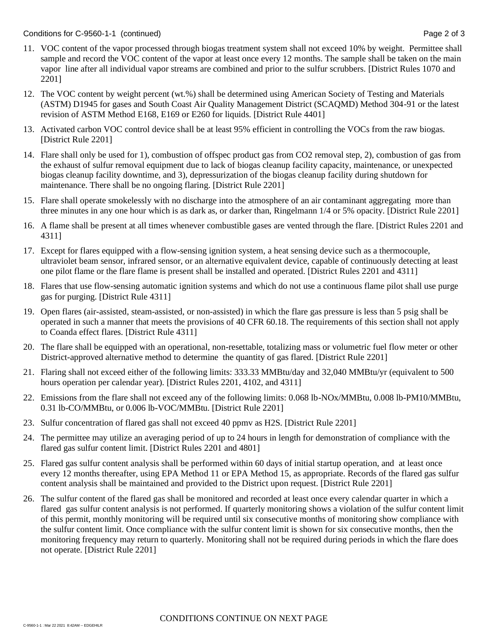- 11. VOC content of the vapor processed through biogas treatment system shall not exceed 10% by weight. Permittee shall sample and record the VOC content of the vapor at least once every 12 months. The sample shall be taken on the main vapor line after all individual vapor streams are combined and prior to the sulfur scrubbers. [District Rules 1070 and 2201]
- 12. The VOC content by weight percent (wt.%) shall be determined using American Society of Testing and Materials (ASTM) D1945 for gases and South Coast Air Quality Management District (SCAQMD) Method 304-91 or the latest revision of ASTM Method E168, E169 or E260 for liquids. [District Rule 4401]
- 13. Activated carbon VOC control device shall be at least 95% efficient in controlling the VOCs from the raw biogas. [District Rule 2201]
- 14. Flare shall only be used for 1), combustion of offspec product gas from CO2 removal step, 2), combustion of gas from the exhaust of sulfur removal equipment due to lack of biogas cleanup facility capacity, maintenance, or unexpected biogas cleanup facility downtime, and 3), depressurization of the biogas cleanup facility during shutdown for maintenance. There shall be no ongoing flaring. [District Rule 2201]
- 15. Flare shall operate smokelessly with no discharge into the atmosphere of an air contaminant aggregating more than three minutes in any one hour which is as dark as, or darker than, Ringelmann 1/4 or 5% opacity. [District Rule 2201]
- 16. A flame shall be present at all times whenever combustible gases are vented through the flare. [District Rules 2201 and 4311]
- 17. Except for flares equipped with a flow-sensing ignition system, a heat sensing device such as a thermocouple, ultraviolet beam sensor, infrared sensor, or an alternative equivalent device, capable of continuously detecting at least one pilot flame or the flare flame is present shall be installed and operated. [District Rules 2201 and 4311]
- 18. Flares that use flow-sensing automatic ignition systems and which do not use a continuous flame pilot shall use purge gas for purging. [District Rule 4311]
- 19. Open flares (air-assisted, steam-assisted, or non-assisted) in which the flare gas pressure is less than 5 psig shall be operated in such a manner that meets the provisions of 40 CFR 60.18. The requirements of this section shall not apply to Coanda effect flares. [District Rule 4311]
- 20. The flare shall be equipped with an operational, non-resettable, totalizing mass or volumetric fuel flow meter or other District-approved alternative method to determine the quantity of gas flared. [District Rule 2201]
- 21. Flaring shall not exceed either of the following limits: 333.33 MMBtu/day and 32,040 MMBtu/yr (equivalent to 500 hours operation per calendar year). [District Rules 2201, 4102, and 4311]
- 22. Emissions from the flare shall not exceed any of the following limits: 0.068 lb-NOx/MMBtu, 0.008 lb-PM10/MMBtu, 0.31 lb-CO/MMBtu, or 0.006 lb-VOC/MMBtu. [District Rule 2201]
- 23. Sulfur concentration of flared gas shall not exceed 40 ppmv as H2S. [District Rule 2201]
- 24. The permittee may utilize an averaging period of up to 24 hours in length for demonstration of compliance with the flared gas sulfur content limit. [District Rules 2201 and 4801]
- 25. Flared gas sulfur content analysis shall be performed within 60 days of initial startup operation, and at least once every 12 months thereafter, using EPA Method 11 or EPA Method 15, as appropriate. Records of the flared gas sulfur content analysis shall be maintained and provided to the District upon request. [District Rule 2201]
- 26. The sulfur content of the flared gas shall be monitored and recorded at least once every calendar quarter in which a flared gas sulfur content analysis is not performed. If quarterly monitoring shows a violation of the sulfur content limit of this permit, monthly monitoring will be required until six consecutive months of monitoring show compliance with the sulfur content limit. Once compliance with the sulfur content limit is shown for six consecutive months, then the monitoring frequency may return to quarterly. Monitoring shall not be required during periods in which the flare does not operate. [District Rule 2201]